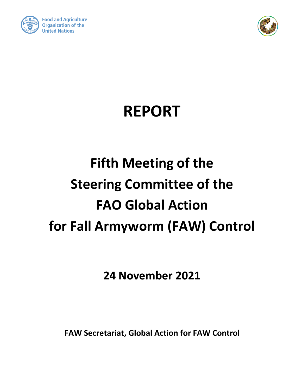



## **REPORT**

# **Fifth Meeting of the Steering Committee of the FAO Global Action for Fall Armyworm (FAW) Control**

**24 November 2021**

**FAW Secretariat, Global Action for FAW Control**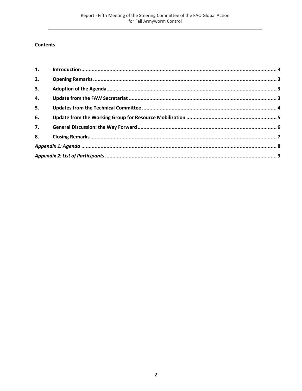#### **Contents**

| 2. |  |
|----|--|
| 3. |  |
| 4. |  |
| 5. |  |
| 6. |  |
| 7. |  |
| 8. |  |
|    |  |
|    |  |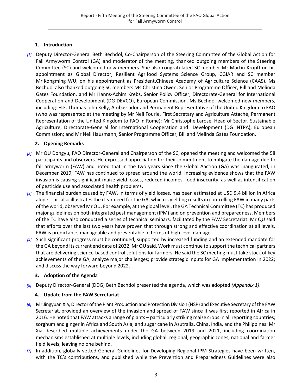#### **1. Introduction**

<span id="page-2-0"></span>*[1]* Deputy Director-General Beth Bechdol, Co-Chairperson of the Steering Committee of the Global Action for Fall Armyworm Control (GA) and moderator of the meeting, thanked outgoing members of the Steering Committee (SC) and welcomed new members. She also congratulated SC member Mr Martin Kropff on his appointment as Global Director, Resilient Agrifood Systems Science Group, CGIAR and SC member Mr Kongming WU, on his appointment as President,Chinese Academy of Agriculture Science (CAAS). Ms Bechdol also thanked outgoing SC members Ms Christina Owen, Senior Programme Officer, Bill and Melinda Gates Foundation, and Mr Hanns-Achim Krebs, Senior Policy Officer, Directorate-General for International Cooperation and Development (DG DEVCO), European Commission. Ms Bechdol welcomed new members, including: H.E. Thomas John Kelly, Ambassador and Permanent Representative of the United Kingdom to FAO (who was represented at the meeting by Mr Neil Fourie, First Secretary and Agriculture Attaché, Permanent Representation of the United Kingdom to FAO in Rome); Mr Christophe Larose, Head of Sector, Sustainable Agriculture, Directorate-General for International Cooperation and Development (DG INTPA), European Commission; and Mr Neil Hausmann, Senior Programme Officer, Bill and Melinda Gates Foundation.

#### **2. Opening Remarks**

- <span id="page-2-1"></span>*[2]* Mr QU Dongyu, FAO Director-General and Chairperson of the SC, opened the meeting and welcomed the 58 participants and observers. He expressed appreciation for their commitment to mitigate the damage due to fall armyworm (FAW) and noted that in the two years since the Global Aaction (GA) was inaugurated, in December 2019, FAW has continued to spread around the world. Increasing evidence shows that the FAW invasion is causing significant maize yield losses, reduced incomes, food insecurity, as well as intensification of pesticide use and associated health problems.
- *[3]* The financial burden caused by FAW, in terms of yield losses, has been estimated at USD 9.4 billion in Africa alone. This also illustrates the clear need for the GA, which is yielding results in controlling FAW in many parts of the world, observed Mr QU. For example, at the global level, the GA Technical Committee (TC) has produced major guidelines on both integrated pest management (IPM) and on prevention and preparedness. Members of the TC have also conducted a series of technical seminars, facilitated by the FAW Secretariat. Mr QU said that efforts over the last two years have proven that through strong and effective coordination at all levels, FAW is predictable, manageable and preventable in terms of high level damage.
- *[4]* Such significant progress must be continued, supported by increased funding and an extended mandate for the GA beyond its current end date of 2022, Mr QU said. Work must continue to support the technical partners that are delivering science-based control solutions for farmers. He said the SC meeting must take stock of key achievements of the GA; analyze major challenges; provide strategic inputs for GA implementation in 2022; and discuss the way forward beyond 2022.

#### **3. Adoption of the Agenda**

<span id="page-2-3"></span><span id="page-2-2"></span>*[5]* Deputy Director-General (DDG) Beth Bechdol presented the agenda, which was adopted *(Appendix 1)*.

#### **4. Update from the FAW Secretariat**

- *[6]* MrJingyuan Xia, Director of the Plant Production and Protection Division (NSP) and Executive Secretary of the FAW Secretariat, provided an overview of the invasion and spread of FAW since it was first reported in Africa in 2016. He noted that FAW attacks a range of plants – particularly striking maize crops in all reporting countries; sorghum and ginger in Africa and South Asia; and sugar cane in Asutralia, China, India, and the Philippines. Mr Xia described multiple achievements under the GA between 2019 and 2021, including coordination mechanisms established at multiple levels, including global, regional, geographic zones, national and farmer field levels, leaving no one behind.
- *[7]* In addition, globally-vetted General Guidelines for Developing Regional IPM Strategies have been written, with the TC's contributions, and published while the Prevention and Preparedness Guidelines were also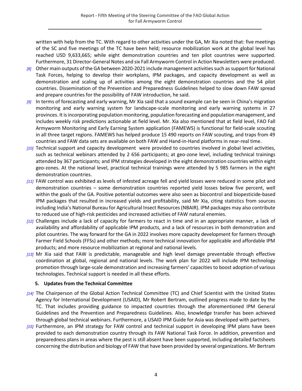written with help from the TC. With regard to other activities under the GA, Mr Xia noted that: five meetings of the SC and five meetings of the TC have been held; resource mobilization work at the global level has reached USD 9,633,665; while eight demonstration countries and ten pilot countries were supported. Furthermore, 31 Director-General Notes and six Fall Armyworm Control in Action Newsletters were produced.

- *[8]* Other main outputs of the GA between 2020-2021 include management activities such as support for National Task Forces, helping to develop their workplans, IPM packages, and capacity development as well as demonstration and scaling up of activities among the eight demonstration countries and the 54 pilot countries. Dissemination of the Prevention and Preparedness Guidelines helped to slow down FAW spread and prepare countries for the possibility of FAW introduction, he said.
- *[9]* In terms of forecasting and early warning, Mr Xia said that a sound example can be seen in China's migration monitoring and early warning system for landscape-scale monitoring and early warning systems in 27 provinces. It is incorporating population monitoring, population forecasting and population management, and includes weekly risk predictions actionable at field level. Mr. Xia also mentioned that at field level, FAO Fall Armyworm Monitoring and Early Earning System application (FAMEWS) is functional for field-scale scouting in all three target regions. FAMEWS has helped produce 15 490 reports on FAW scouting, and traps from 49 countries and FAW data sets are available on both FAW and Hand-in-Hand platforms in near-real time.
- *[10]* Technical support and capacity development were provided to countries involved in global level activities, such as technical webinars attended by 2 656 participants; at geo-zone level, including technical trainings attended by 367 participants; and IPM strategies developed in the eight demonstration countries within eight geo-zones. At the national level, practical technical trainings were attended by 5 985 farmers in the eight demonstration countries.
- *[11]* FAW control was exhibited as levels of infested acreage fell and yield losses were reduced in some pilot and demonstration countries – some demonstration countries reported yield losses below five percent, well within the goals of the GA. Positive potential outcomes were also seen as biocontrol and biopesticide-based IPM packages that resulted in increased yields and profitability, said Mr Xia, citing statistics from sources including India's National Bureau for Agricultural Insect Resources (NBAIR). IPM packages may also contribute to reduced use of high-risk pesticides and increased activities of FAW natural enemies.
- *[12]* Challenges include a lack of capacity for farmers to react in time and in an appropriate manner, a lack of availability and affordability of applicable IPM products, and a lack of resources in both demonstration and pilot countries. The way forward for the GA in 2022 involves more capacity development for farmers through Farmer Field Schools (FFSs) and other methods; more technical innovation for applicable and affordable IPM products; and more resource mobilization at regional and national levels.
- *[13]* Mr Xia said that FAW is predictable, manageable and high level damage preventable through effective coordination at global, regional and national levels. The work plan for 2022 will include IPM technology promotion through large-scale demonstration and increasing farmers' capacities to boost adoption of various technologies. Technical support is needed in all these efforts.

#### **5. Updates from the Technical Committee**

- <span id="page-3-0"></span>*[14]* The Chairperson of the Global Action Technical Committee (TC) and Chief Scientist with the United States Agency for International Development (USAID), Mr Robert Bertram, outlined progress made to date by the TC. That includes providing guidance to impacted countries through the aforementioned IPM General Guidelines and the Prevention and Preparedness Guidelines. Also, knowledge transfer has been achieved through global technical webinars. Furthermore, a USAID IPM Guide for Asia was developed with partners.
- *[15]* Furthermore, an IPM strategy for FAW control and technical support in developing IPM plans have been provided to each demonstration country through its FAW National Task Force. In addition, prevention and preparedness plans in areas where the pest is still absent have been supported, including detailed factsheets concerning the distribution and biology of FAW that have been provided by several organizations. Mr Bertram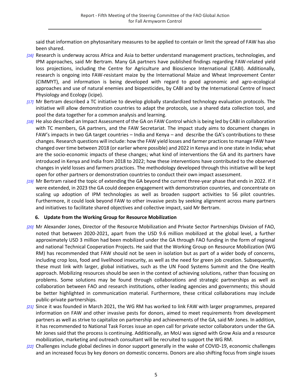said that information on phytosanitary measures to be applied to contain or limit the spread of FAW has also been shared.

- *[16]* Research is underway across Africa and Asia to better understand management practices, technologies, and IPM approaches, said Mr Bertram. Many GA partners have published findings regarding FAW-related yield loss projections, including the Centre for Agriculture and Bioscience International (CABI). Additionally, research is ongoing into FAW-resistant maize by the International Maize and Wheat Improvement Center (CIMMYT), and information is being developed with regard to good agronomic and agro-ecological approaches and use of natural enemies and biopesticides, by CABI and by the International Centre of Insect Physiology and Ecology (icipe).
- *[17]* Mr Bertram described a TC initiative to develop globally standardized technology evaluation protocols. The initiative will allow demonstration countries to adapt the protocols, use a shared data collection tool, and pool the data together for a common analysis and learning.
- *[18]* He also described an Impact Assessment of the GA on FAW Control which is being led by CABI in collaboration with TC members, GA partners, and the FAW Secretariat. The impact study aims to document changes in FAW's impacts in two GA target countries – India and Kenya – and describe the GA's contributions to these changes. Research questions will include: how the FAW yield losses and farmer practices to manage FAW have changed over time between 2018 (or earlier where possible) and 2022 in Kenya and in one state in India; what are the socio-economic impacts of these changes; what kind of interventions the GA and its partners have introduced in Kenya and India from 2018 to 2022; how these interventions have contributed to the observed changes in yield losses and farmers practices. The methodology developed through this initiative will be kept open for other partners or demonstration countries to conduct their own impact assessment.
- *[19]* Mr Bertram raised the topic of extending the GA beyond the current three-year phase that ends in 2022. If it were extended, in 2023 the GA could deepen engagement with demonstration countries, and concentrate on scaling up adoption of IPM technologies as well as broaden support activities to 56 pilot countries. Furthermore, it could look beyond FAW to other invasive pests by seeking alignment across many partners and initiatives to facilitate shared objectives and collective impact, said Mr Bertram.

#### **6. Update from the Working Group for Resource Mobilization**

- <span id="page-4-0"></span>*[20]* Mr Alexander Jones, Director of the Resource Mobilization and Private Sector Partnerships Division of FAO, noted that between 2020-2021, apart from the USD 9.6 million mobilized at the global level, a further approximately USD 3 million had been mobilized under the GA through FAO funding in the form of regional and national Technical Cooperation Projects. He said that the Working Group on Resource Mobilization (WG RM) has recommended that FAW should not be seen in isolation but as part of a wider body of concerns, including crop loss, food and livelihood insecurity, as well as the need for green job creation. Subsequently, these must link with larger, global initiatives, such as the UN Food Systems Summit and the One Health approach. Mobilizing resources should be seen in the context of achieving solutions, rather than focusing on problems. Some solutions may be found through collaborations and strategic partnerships as well as collaboration between FAO and research institutions, other leading agencies and governments; this should be better highlighted in communication material. Furthermore, these critical collaborations may include public-private partnerships.
- *[21]* Since it was founded in March 2021, the WG RM has worked to link FAW with larger programmes, prepared information on FAW and other invasive pests for donors, aimed to meet requirements from development partners as well as strive to capitalize on partnership and achievements of the GA, said Mr Jones. In addition, it has recommended to National Task Forces issue an open call for private sector collaborators under the GA. Mr Jones said that the process is continuing. Additionally, an MoU was signed with Grow Asia and a resource mobilization, marketing and outreach consultant will be recruited to support the WG RM.
- *[22]* Challenges include global declines in donor support generally in the wake of COVID-19, economic challenges and an increased focus by key donors on domestic concerns. Donors are also shifting focus from single issues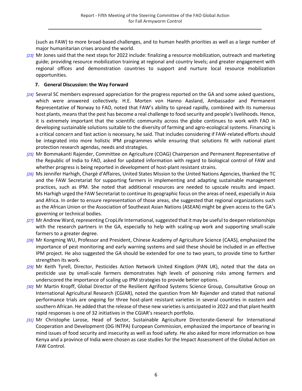(such as FAW) to more broad-based challenges, and to human health priorities as well as a large number of major humanitarian crises around the world.

*[23]* Mr Jones said that the next steps for 2022 include: finalizing a resource mobilization, outreach and marketing guide; providing resource mobilization training at regional and country levels; and greater engagement with regional offices and demonstration countries to support and nurture local resource mobilization opportunities.

#### **7. General Discussion: the Way Forward**

- <span id="page-5-0"></span>*[24]* Several SC members expressed appreciation for the progress reported on the GA and some asked questions, which were answered collectively. H.E. Morten von Hanno Aasland, Ambassador and Permanent Representative of Norway to FAO, noted that FAW's ability to spread rapidly, combined with its numerous host plants, means that the pest has become a real challenge to food security and people's livelihoods. Hence, it is extremely important that the scientific community across the globe continues to work with FAO in developing sustainable solutions suitable to the diversity of farming and agro-ecological systems. Financing is a critical concern and fast action is necessary, he said. That includes considering if FAW-related efforts should be integrated into more holistic IPM programmes while ensuring that solutions fit with national plant protection research agendas, needs and strategies.
- *[25]* Mr Bommakanti Rajender, Committee on Agriculture (COAG) Chairperson and Permanent Representative of the Republic of India to FAO, asked for updated information with regard to biological control of FAW and whether progress is being reported in development of host-plant resistant strains.
- *[26]* Ms Jennifer Harhigh, Chargé d'Affaires, United States Mission to the United Nations Agencies, thanked the TC and the FAW Secretariat for supporting farmers in implementing and adapting sustainable management practices, such as IPM. She noted that additional resources are needed to upscale results and impact. Ms Harhigh urged the FAW Secretariat to continue its geographic focus on the areas of need, especially in Asia and Africa. In order to ensure representation of those areas, she suggested that regional organizations such as the African Union or the Association of Southeast Asian Nations (ASEAN) might be given access to the GA's governing or technical bodies.
- *[27]* Mr Andrew Ward, representing CropLife International, suggested that it may be useful to deepen relationships with the research partners in the GA, especially to help with scaling-up work and supporting small-scale farmers to a greater degree.
- *[28]* Mr Kongming WU, Professor and President, Chinese Academy of Agriculture Science (CAAS), emphasized the importance of pest monitoring and early warning systems and said these should be included in an effective IPM project. He also suggested the GA should be extended for one to two years, to provide time to further strengthen its work.
- *[29]* Mr Keith Tyrell, Director, Pesticides Action Network United Kingdom (PAN UK), noted that the data on pesticide use by small-scale farmers demonstrates high levels of poisoning risks among farmers and underscored the importance of scaling up IPM strategies to provide better options.
- *[30]* Mr Martin Kropff, Global Director of the Resilient Agrifood Systems Science Group, Consultative Group on International Agricultural Research (CGIAR), noted the question from Mr Rajender and stated that national performance trials are ongoing for three host-plant resistant varieties in several countries in eastern and southern African. He added that the release of these new varieties is anticipated in 2022 and that plant health rapid responses is one of 32 initiatives in the CGIAR's research portfolio.
- *[31]* Mr Christophe Larose, Head of Sector, Sustainable Agriculture Directorate-General for International Cooperation and Development (DG INTPA) European Commission, emphasized the importance of bearing in mind issues of food security and insecurity as well as food safety. He also asked for more information on how Kenya and a province of India were chosen as case studies for the Impact Assessment of the Global Action on FAW Control.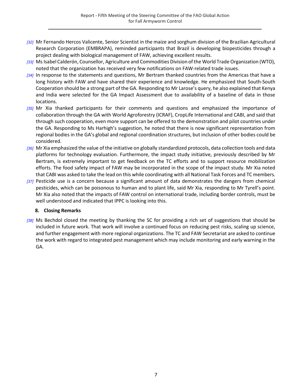- *[32]* Mr Fernando Hercos Valicente, Senior Scientist in the maize and sorghum division of the Brazilian Agricultural Research Corporation (EMBRAPA), reminded participants that Brazil is developing biopesticides through a project dealing with biological management of FAW, achieving excellent results.
- *[33]* Ms Isabel Calderón, Counsellor, Agriculture and Commodities Division of the World Trade Organization (WTO), noted that the organization has received very few notifications on FAW-related trade issues.
- *[34]* In response to the statements and questions, Mr Bertram thanked countries from the Americas that have a long history with FAW and have shared their experience and knowledge. He emphasized that South-South Cooperation should be a strong part of the GA. Responding to Mr Larose's query, he also explained that Kenya and India were selected for the GA Impact Assessment due to availability of a baseline of data in those locations.
- *[35]* Mr Xia thanked participants for their comments and questions and emphasized the importance of collaboration through the GA with World Agroforestry (ICRAF), CropLife International and CABI, and said that through such cooperation, even more support can be offered to the demonstration and pilot countries under the GA. Responding to Ms Harhigh's suggestion, he noted that there is now significant representation from regional bodies in the GA's global and regional coordination structures, but inclusion of other bodies could be considered.
- *[36]* Mr Xia emphasized the value of the initiative on globally standardized protocols, data collection tools and data platforms for technology evaluation. Furthermore, the impact study initiative, previously described by Mr Bertram, is extremely important to get feedback on the TC efforts and to support resource mobilization efforts. The food safety impact of FAW may be incorporated in the scope of the impact study. Mr Xia noted that CABI was asked to take the lead on this while coordinating with all National Task Forces and TC members.
- *[37]* Pesticide use is a concern because a significant amount of data demonstrates the dangers from chemical pesticides, which can be poisonous to human and to plant life, said Mr Xia, responding to Mr Tyrell's point. Mr Xia also noted that the impacts of FAW control on international trade, including border controls, must be well understood and indicated that IPPC is looking into this.

#### **8. Closing Remarks**

<span id="page-6-0"></span>*[38]* Ms Bechdol closed the meeting by thanking the SC for providing a rich set of suggestions that should be included in future work. That work will involve a continued focus on reducing pest risks, scaling up science, and further engagement with more regional organizations. The TC and FAW Secretariat are asked to continue the work with regard to integrated pest management which may include monitoring and early warning in the GA.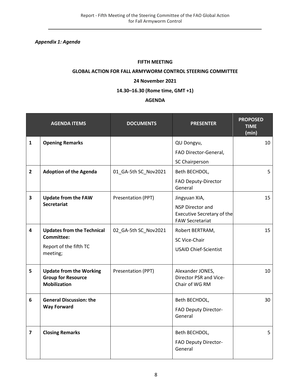<span id="page-7-0"></span>*Appendix 1: Agenda*

#### **FIFTH MEETING**

#### **GLOBAL ACTION FOR FALL ARMYWORM CONTROL STEERING COMMITTEE**

#### **24 November 2021**

#### **14.30–16.30 (Rome time, GMT +1)**

#### **AGENDA**

|                         | <b>AGENDA ITEMS</b>                                                                | <b>DOCUMENTS</b>     | <b>PRESENTER</b>                                                                       | <b>PROPOSED</b><br><b>TIME</b><br>(min) |
|-------------------------|------------------------------------------------------------------------------------|----------------------|----------------------------------------------------------------------------------------|-----------------------------------------|
| $\mathbf{1}$            | <b>Opening Remarks</b>                                                             |                      | QU Dongyu,                                                                             | 10                                      |
|                         |                                                                                    |                      | FAO Director-General,                                                                  |                                         |
|                         |                                                                                    |                      | SC Chairperson                                                                         |                                         |
| $\overline{2}$          | <b>Adoption of the Agenda</b>                                                      | 01_GA-5th SC_Nov2021 | Beth BECHDOL,                                                                          | 5                                       |
|                         |                                                                                    |                      | FAO Deputy-Director<br>General                                                         |                                         |
| $\overline{\mathbf{3}}$ | <b>Update from the FAW</b>                                                         | Presentation (PPT)   | Jingyuan XIA,                                                                          | 15                                      |
|                         | <b>Secretariat</b>                                                                 |                      | <b>NSP Director and</b><br><b>Executive Secretary of the</b><br><b>FAW Secretariat</b> |                                         |
| $\overline{4}$          | <b>Updates from the Technical</b>                                                  | 02_GA-5th SC_Nov2021 | Robert BERTRAM,                                                                        | 15                                      |
|                         | <b>Committee:</b>                                                                  |                      | SC Vice-Chair                                                                          |                                         |
|                         | Report of the fifth TC<br>meeting;                                                 |                      | <b>USAID Chief-Scientist</b>                                                           |                                         |
| 5                       | <b>Update from the Working</b><br><b>Group for Resource</b><br><b>Mobilization</b> | Presentation (PPT)   | Alexander JONES,<br>Director PSR and Vice-<br>Chair of WG RM                           | 10                                      |
| 6                       | <b>General Discussion: the</b>                                                     |                      | Beth BECHDOL,                                                                          | 30                                      |
|                         | <b>Way Forward</b>                                                                 |                      | FAO Deputy Director-<br>General                                                        |                                         |
| $\overline{7}$          | <b>Closing Remarks</b>                                                             |                      | Beth BECHDOL,                                                                          | 5                                       |
|                         |                                                                                    |                      | FAO Deputy Director-<br>General                                                        |                                         |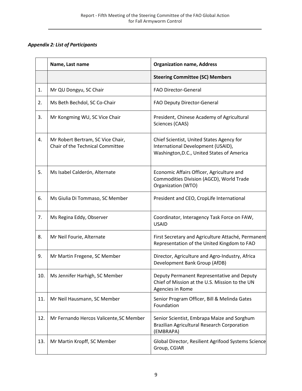### <span id="page-8-0"></span>*Appendix 2: List of Participants*

|     | Name, Last name                                                       | <b>Organization name, Address</b>                                                                                             |
|-----|-----------------------------------------------------------------------|-------------------------------------------------------------------------------------------------------------------------------|
|     |                                                                       | <b>Steering Committee (SC) Members</b>                                                                                        |
| 1.  | Mr QU Dongyu, SC Chair                                                | <b>FAO Director-General</b>                                                                                                   |
| 2.  | Ms Beth Bechdol, SC Co-Chair                                          | FAO Deputy Director-General                                                                                                   |
| 3.  | Mr Kongming WU, SC Vice Chair                                         | President, Chinese Academy of Agricultural<br>Sciences (CAAS)                                                                 |
| 4.  | Mr Robert Bertram, SC Vice Chair,<br>Chair of the Technical Committee | Chief Scientist, United States Agency for<br>International Development (USAID),<br>Washington, D.C., United States of America |
| 5.  | Ms Isabel Calderón, Alternate                                         | Economic Affairs Officer, Agriculture and<br>Commodities Division (AGCD), World Trade<br>Organization (WTO)                   |
| 6.  | Ms Giulia Di Tommaso, SC Member                                       | President and CEO, CropLife International                                                                                     |
| 7.  | Ms Regina Eddy, Observer                                              | Coordinator, Interagency Task Force on FAW,<br><b>USAID</b>                                                                   |
| 8.  | Mr Neil Fourie, Alternate                                             | First Secretary and Agriculture Attaché, Permanent<br>Representation of the United Kingdom to FAO                             |
| 9.  | Mr Martin Fregene, SC Member                                          | Director, Agriculture and Agro-Industry, Africa<br>Development Bank Group (AfDB)                                              |
| 10. | Ms Jennifer Harhigh, SC Member                                        | Deputy Permanent Representative and Deputy<br>Chief of Mission at the U.S. Mission to the UN<br>Agencies in Rome              |
| 11. | Mr Neil Hausmann, SC Member                                           | Senior Program Officer, Bill & Melinda Gates<br>Foundation                                                                    |
| 12. | Mr Fernando Hercos Valicente, SC Member                               | Senior Scientist, Embrapa Maize and Sorghum<br><b>Brazilian Agricultural Research Corporation</b><br>(EMBRAPA)                |
| 13. | Mr Martin Kropff, SC Member                                           | Global Director, Resilient Agrifood Systems Science<br>Group, CGIAR                                                           |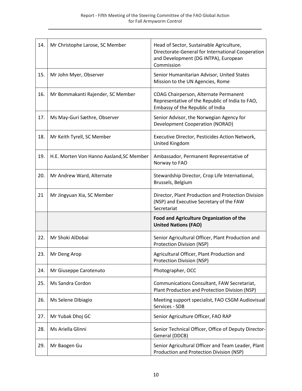| 14. | Mr Christophe Larose, SC Member          | Head of Sector, Sustainable Agriculture,<br>Directorate-General for International Cooperation<br>and Development (DG INTPA), European<br>Commission |
|-----|------------------------------------------|-----------------------------------------------------------------------------------------------------------------------------------------------------|
| 15. | Mr John Myer, Observer                   | Senior Humanitarian Advisor, United States<br>Mission to the UN Agencies, Rome                                                                      |
| 16. | Mr Bommakanti Rajender, SC Member        | COAG Chairperson, Alternate Permanent<br>Representative of the Republic of India to FAO,<br>Embassy of the Republic of India                        |
| 17. | Ms May-Guri Sæthre, Observer             | Senior Advisor, the Norwegian Agency for<br><b>Development Cooperation (NORAD)</b>                                                                  |
| 18. | Mr Keith Tyrell, SC Member               | Executive Director, Pesticides Action Network,<br>United Kingdom                                                                                    |
| 19. | H.E. Morten Von Hanno Aasland, SC Member | Ambassador, Permanent Representative of<br>Norway to FAO                                                                                            |
| 20. | Mr Andrew Ward, Alternate                | Stewardship Director, Crop Life International,<br>Brussels, Belgium                                                                                 |
| 21  | Mr Jingyuan Xia, SC Member               | Director, Plant Production and Protection Division<br>(NSP) and Executive Secretary of the FAW<br>Secretariat                                       |
|     |                                          | Food and Agriculture Organization of the<br><b>United Nations (FAO)</b>                                                                             |
| 22. | Mr Shoki AlDobai                         | Senior Agricultural Officer, Plant Production and<br><b>Protection Division (NSP)</b>                                                               |
| 23. | Mr Deng Arop                             | Agricultural Officer, Plant Production and<br>Protection Division (NSP)                                                                             |
| 24. | Mr Giuseppe Carotenuto                   | Photographer, OCC                                                                                                                                   |
| 25. | Ms Sandra Cordon                         | Communications Consultant, FAW Secretariat,<br>Plant Production and Protection Division (NSP)                                                       |
| 26. | Ms Selene Dibiagio                       | Meeting support specialist, FAO CSGM Audiovisual<br>Services - SDB                                                                                  |
| 27. | Mr Yubak Dhoj GC                         | Senior Agriculture Officer, FAO RAP                                                                                                                 |
| 28. | Ms Ariella Glinni                        | Senior Technical Officer, Office of Deputy Director-<br>General (DDCB)                                                                              |
| 29. | Mr Baogen Gu                             | Senior Agricultural Officer and Team Leader, Plant<br>Production and Protection Division (NSP)                                                      |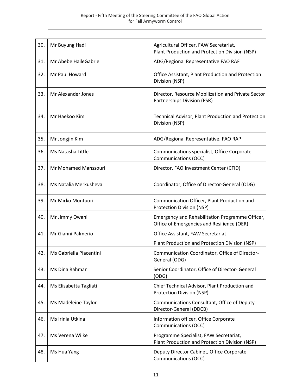| 30. | Mr Buyung Hadi          | Agricultural Officer, FAW Secretariat,<br>Plant Production and Protection Division (NSP)                          |
|-----|-------------------------|-------------------------------------------------------------------------------------------------------------------|
| 31. | Mr Abebe HaileGabriel   | ADG/Regional Representative FAO RAF                                                                               |
| 32. | Mr Paul Howard          | Office Assistant, Plant Production and Protection<br>Division (NSP)                                               |
| 33. | Mr Alexander Jones      | Director, Resource Mobilization and Private Sector<br>Partnerships Division (PSR)                                 |
| 34. | Mr Haekoo Kim           | Technical Advisor, Plant Production and Protection<br>Division (NSP)                                              |
| 35. | Mr Jongjin Kim          | ADG/Regional Representative, FAO RAP                                                                              |
| 36. | Ms Natasha Little       | Communications specialist, Office Corporate<br><b>Communications (OCC)</b>                                        |
| 37. | Mr Mohamed Manssouri    | Director, FAO Investment Center (CFID)                                                                            |
| 38. | Ms Natalia Merkusheva   | Coordinator, Office of Director-General (ODG)                                                                     |
| 39. | Mr Mirko Montuori       | Communication Officer, Plant Production and<br>Protection Division (NSP)                                          |
| 40. | Mr Jimmy Owani          | Emergency and Rehabilitation Programme Officer,<br>Office of Emergencies and Resilience (OER)                     |
| 41. | Mr Gianni Palmerio      | Office Assistant, FAW Secretariat                                                                                 |
| 42. | Ms Gabriella Piacentini | Plant Production and Protection Division (NSP)<br>Communication Coordinator, Office of Director-<br>General (ODG) |
| 43. | Ms Dina Rahman          | Senior Coordinator, Office of Director- General<br>(ODG)                                                          |
| 44. | Ms Elisabetta Tagliati  | Chief Technical Advisor, Plant Production and<br><b>Protection Division (NSP)</b>                                 |
| 45. | Ms Madeleine Taylor     | Communications Consultant, Office of Deputy<br>Director-General (DDCB)                                            |
| 46. | Ms Irinia Utkina        | Information officer, Office Corporate<br><b>Communications (OCC)</b>                                              |
| 47. | Ms Verena Wilke         | Programme Specialist, FAW Secretariat,<br>Plant Production and Protection Division (NSP)                          |
| 48. | Ms Hua Yang             | Deputy Director Cabinet, Office Corporate<br>Communications (OCC)                                                 |